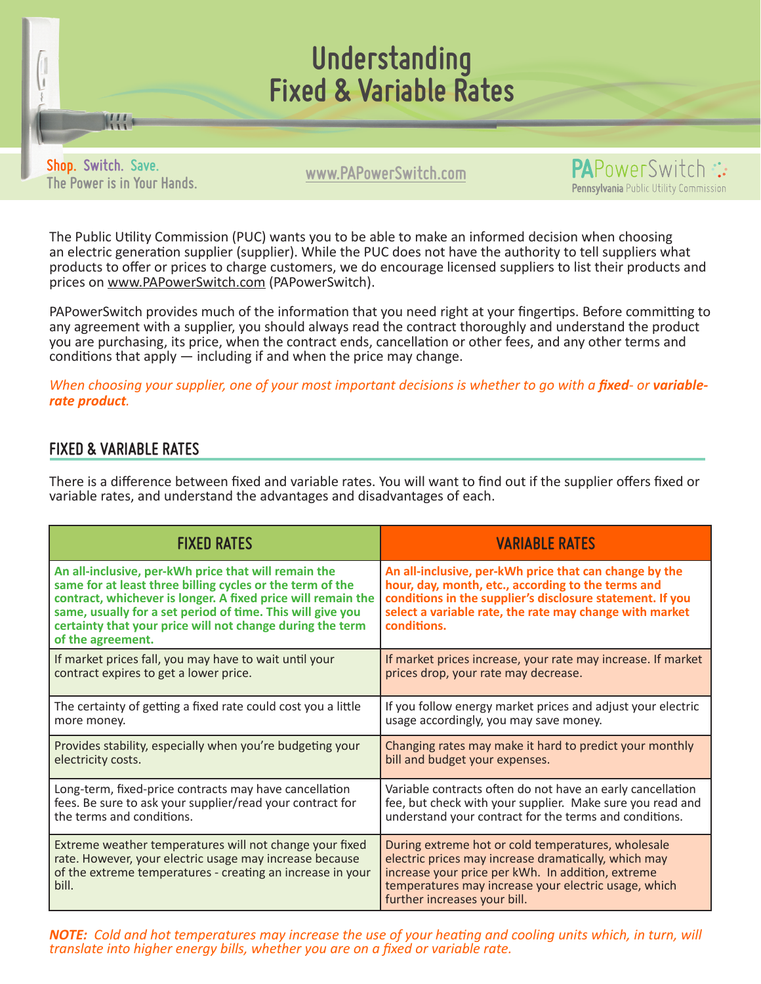

**www.PAPowerSwitch.com Shop. Switch. Save. The Power is in Your Hands.**

W



The Public Utility Commission (PUC) wants you to be able to make an informed decision when choosing an electric generation supplier (supplier). While the PUC does not have the authority to tell suppliers what products to offer or prices to charge customers, we do encourage licensed suppliers to list their products and prices on www.PAPowerSwitch.com (PAPowerSwitch).

PAPowerSwitch provides much of the information that you need right at your fingertips. Before committing to any agreement with a supplier, you should always read the contract thoroughly and understand the product you are purchasing, its price, when the contract ends, cancellation or other fees, and any other terms and conditions that apply — including if and when the price may change.

*When choosing your supplier, one of your most important decisions is whether to go with a <i>fixed*- or *variablerate product.* 

## **FIXED & VARIABLE RATES**

There is a difference between fixed and variable rates. You will want to find out if the supplier offers fixed or variable rates, and understand the advantages and disadvantages of each.

| <b>FIXED RATES</b>                                                                                                                                                                                                                                                                                                                | <b>VARIABLE RATES</b>                                                                                                                                                                                                                                   |
|-----------------------------------------------------------------------------------------------------------------------------------------------------------------------------------------------------------------------------------------------------------------------------------------------------------------------------------|---------------------------------------------------------------------------------------------------------------------------------------------------------------------------------------------------------------------------------------------------------|
| An all-inclusive, per-kWh price that will remain the<br>same for at least three billing cycles or the term of the<br>contract, whichever is longer. A fixed price will remain the<br>same, usually for a set period of time. This will give you<br>certainty that your price will not change during the term<br>of the agreement. | An all-inclusive, per-kWh price that can change by the<br>hour, day, month, etc., according to the terms and<br>conditions in the supplier's disclosure statement. If you<br>select a variable rate, the rate may change with market<br>conditions.     |
| If market prices fall, you may have to wait until your                                                                                                                                                                                                                                                                            | If market prices increase, your rate may increase. If market                                                                                                                                                                                            |
| contract expires to get a lower price.                                                                                                                                                                                                                                                                                            | prices drop, your rate may decrease.                                                                                                                                                                                                                    |
| The certainty of getting a fixed rate could cost you a little                                                                                                                                                                                                                                                                     | If you follow energy market prices and adjust your electric                                                                                                                                                                                             |
| more money.                                                                                                                                                                                                                                                                                                                       | usage accordingly, you may save money.                                                                                                                                                                                                                  |
| Provides stability, especially when you're budgeting your                                                                                                                                                                                                                                                                         | Changing rates may make it hard to predict your monthly                                                                                                                                                                                                 |
| electricity costs.                                                                                                                                                                                                                                                                                                                | bill and budget your expenses.                                                                                                                                                                                                                          |
| Long-term, fixed-price contracts may have cancellation                                                                                                                                                                                                                                                                            | Variable contracts often do not have an early cancellation                                                                                                                                                                                              |
| fees. Be sure to ask your supplier/read your contract for                                                                                                                                                                                                                                                                         | fee, but check with your supplier. Make sure you read and                                                                                                                                                                                               |
| the terms and conditions.                                                                                                                                                                                                                                                                                                         | understand your contract for the terms and conditions.                                                                                                                                                                                                  |
| Extreme weather temperatures will not change your fixed<br>rate. However, your electric usage may increase because<br>of the extreme temperatures - creating an increase in your<br>bill.                                                                                                                                         | During extreme hot or cold temperatures, wholesale<br>electric prices may increase dramatically, which may<br>increase your price per kWh. In addition, extreme<br>temperatures may increase your electric usage, which<br>further increases your bill. |

*NOTE: Cold and hot temperatures may increase the use of your heating and cooling units which, in turn, will translate into higher energy bills, whether you are on a fixed or variable rate.*